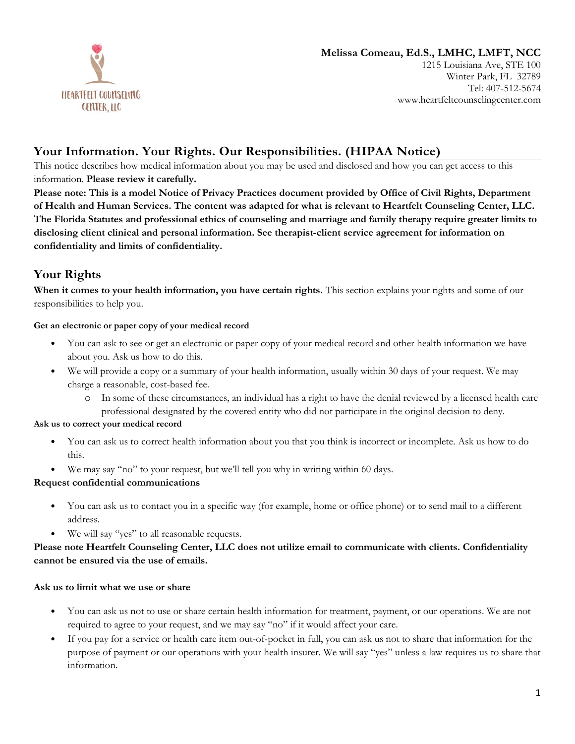

#### **Melissa Comeau, Ed.S., LMHC, LMFT, NCC** 1215 Louisiana Ave, STE 100 Winter Park, FL 32789 Tel: 407-512-5674 www.heartfeltcounselingcenter.com

# **Your Information. Your Rights. Our Responsibilities. (HIPAA Notice)**

This notice describes how medical information about you may be used and disclosed and how you can get access to this information. **Please review it carefully.** 

**Please note: This is a model Notice of Privacy Practices document provided by Office of Civil Rights, Department of Health and Human Services. The content was adapted for what is relevant to Heartfelt Counseling Center, LLC. The Florida Statutes and professional ethics of counseling and marriage and family therapy require greater limits to disclosing client clinical and personal information. See therapist-client service agreement for information on confidentiality and limits of confidentiality.** 

# **Your Rights**

**When it comes to your health information, you have certain rights.** This section explains your rights and some of our responsibilities to help you.

### **Get an electronic or paper copy of your medical record**

- You can ask to see or get an electronic or paper copy of your medical record and other health information we have about you. Ask us how to do this.
- We will provide a copy or a summary of your health information, usually within 30 days of your request. We may charge a reasonable, cost-based fee.
	- o In some of these circumstances, an individual has a right to have the denial reviewed by a licensed health care professional designated by the covered entity who did not participate in the original decision to deny.

#### **Ask us to correct your medical record**

- You can ask us to correct health information about you that you think is incorrect or incomplete. Ask us how to do this.
- We may say "no" to your request, but we'll tell you why in writing within 60 days.

## **Request confidential communications**

- You can ask us to contact you in a specific way (for example, home or office phone) or to send mail to a different address.
- We will say "yes" to all reasonable requests.

## **Please note Heartfelt Counseling Center, LLC does not utilize email to communicate with clients. Confidentiality cannot be ensured via the use of emails.**

#### **Ask us to limit what we use or share**

- You can ask us not to use or share certain health information for treatment, payment, or our operations. We are not required to agree to your request, and we may say "no" if it would affect your care.
- If you pay for a service or health care item out-of-pocket in full, you can ask us not to share that information for the purpose of payment or our operations with your health insurer. We will say "yes" unless a law requires us to share that information.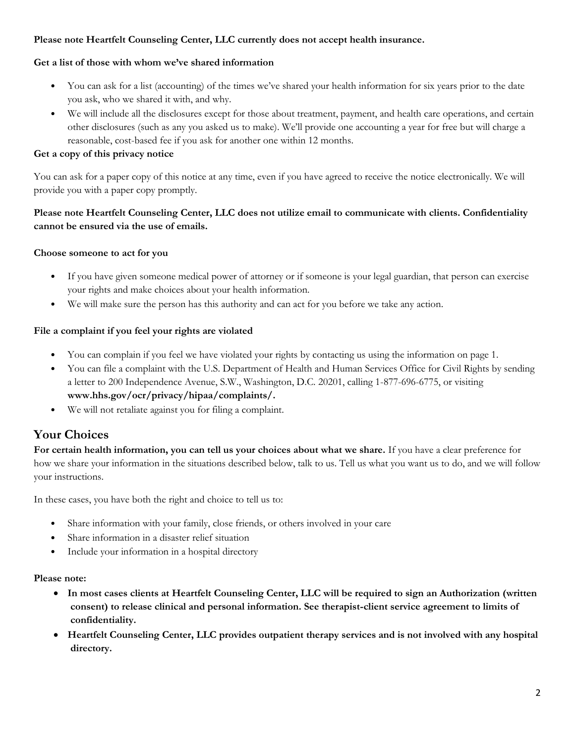## **Please note Heartfelt Counseling Center, LLC currently does not accept health insurance.**

## **Get a list of those with whom we've shared information**

- You can ask for a list (accounting) of the times we've shared your health information for six years prior to the date you ask, who we shared it with, and why.
- We will include all the disclosures except for those about treatment, payment, and health care operations, and certain other disclosures (such as any you asked us to make). We'll provide one accounting a year for free but will charge a reasonable, cost-based fee if you ask for another one within 12 months.

### **Get a copy of this privacy notice**

You can ask for a paper copy of this notice at any time, even if you have agreed to receive the notice electronically. We will provide you with a paper copy promptly.

## **Please note Heartfelt Counseling Center, LLC does not utilize email to communicate with clients. Confidentiality cannot be ensured via the use of emails.**

### **Choose someone to act for you**

- If you have given someone medical power of attorney or if someone is your legal guardian, that person can exercise your rights and make choices about your health information.
- We will make sure the person has this authority and can act for you before we take any action.

### **File a complaint if you feel your rights are violated**

- You can complain if you feel we have violated your rights by contacting us using the information on page 1.
- You can file a complaint with the U.S. Department of Health and Human Services Office for Civil Rights by sending a letter to 200 Independence Avenue, S.W., Washington, D.C. 20201, calling 1-877-696-6775, or visiting **www.hhs.gov/ocr/privacy/hipaa/complaints/.**
- We will not retaliate against you for filing a complaint.

## **Your Choices**

**For certain health information, you can tell us your choices about what we share.** If you have a clear preference for how we share your information in the situations described below, talk to us. Tell us what you want us to do, and we will follow your instructions.

In these cases, you have both the right and choice to tell us to:

- Share information with your family, close friends, or others involved in your care
- Share information in a disaster relief situation
- Include your information in a hospital directory

#### **Please note:**

- **In most cases clients at Heartfelt Counseling Center, LLC will be required to sign an Authorization (written consent) to release clinical and personal information. See therapist-client service agreement to limits of confidentiality.**
- **Heartfelt Counseling Center, LLC provides outpatient therapy services and is not involved with any hospital directory.**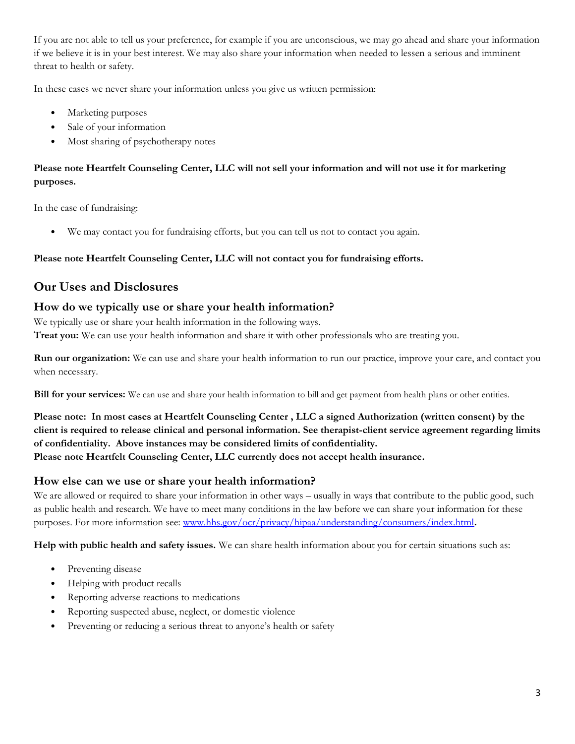If you are not able to tell us your preference, for example if you are unconscious, we may go ahead and share your information if we believe it is in your best interest. We may also share your information when needed to lessen a serious and imminent threat to health or safety.

In these cases we never share your information unless you give us written permission:

- Marketing purposes
- Sale of your information
- Most sharing of psychotherapy notes

## **Please note Heartfelt Counseling Center, LLC will not sell your information and will not use it for marketing purposes.**

In the case of fundraising:

We may contact you for fundraising efforts, but you can tell us not to contact you again.

## **Please note Heartfelt Counseling Center, LLC will not contact you for fundraising efforts.**

## **Our Uses and Disclosures**

## **How do we typically use or share your health information?**

We typically use or share your health information in the following ways.

**Treat you:** We can use your health information and share it with other professionals who are treating you.

**Run our organization:** We can use and share your health information to run our practice, improve your care, and contact you when necessary.

**Bill for your services:** We can use and share your health information to bill and get payment from health plans or other entities.

**Please note: In most cases at Heartfelt Counseling Center , LLC a signed Authorization (written consent) by the client is required to release clinical and personal information. See therapist-client service agreement regarding limits of confidentiality. Above instances may be considered limits of confidentiality. Please note Heartfelt Counseling Center, LLC currently does not accept health insurance.** 

## **How else can we use or share your health information?**

We are allowed or required to share your information in other ways – usually in ways that contribute to the public good, such as public health and research. We have to meet many conditions in the law before we can share your information for these purposes. For more information see: [www.hhs.gov/ocr/privacy/hipaa/understanding/consumers/index.html](http://www.hhs.gov/ocr/privacy/hipaa/understanding/consumers/index.html)**.**

**Help with public health and safety issues.** We can share health information about you for certain situations such as:

- Preventing disease
- Helping with product recalls
- Reporting adverse reactions to medications
- Reporting suspected abuse, neglect, or domestic violence
- Preventing or reducing a serious threat to anyone's health or safety